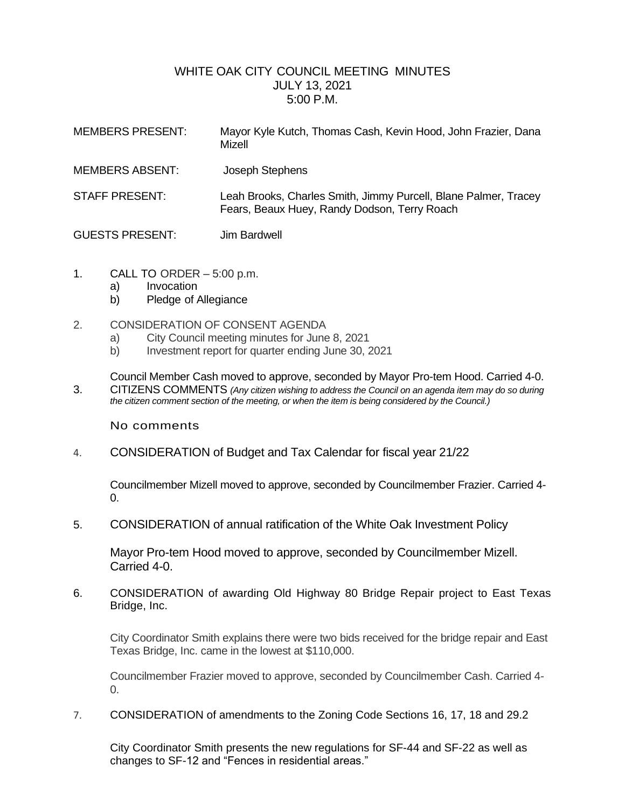## WHITE OAK CITY COUNCIL MEETING MINUTES JULY 13, 2021 5:00 P.M.

| <b>MEMBERS PRESENT:</b> | Mayor Kyle Kutch, Thomas Cash, Kevin Hood, John Frazier, Dana<br>Mizell                                         |
|-------------------------|-----------------------------------------------------------------------------------------------------------------|
| <b>MEMBERS ABSENT:</b>  | Joseph Stephens                                                                                                 |
| <b>STAFF PRESENT:</b>   | Leah Brooks, Charles Smith, Jimmy Purcell, Blane Palmer, Tracey<br>Fears, Beaux Huey, Randy Dodson, Terry Roach |
| <b>GUESTS PRESENT:</b>  | Jim Bardwell                                                                                                    |

- 1. CALL TO ORDER 5:00 p.m.
	- a) Invocation
	- b) Pledge of Allegiance
- 2. CONSIDERATION OF CONSENT AGENDA
	- a) City Council meeting minutes for June 8, 2021
	- b) Investment report for quarter ending June 30, 2021

Council Member Cash moved to approve, seconded by Mayor Pro-tem Hood. Carried 4-0. 3. CITIZENS COMMENTS *(Any citizen wishing to address the Council on an agenda item may do so during* 

*the citizen comment section of the meeting, or when the item is being considered by the Council.)*

No comments

4. CONSIDERATION of Budget and Tax Calendar for fiscal year 21/22

Councilmember Mizell moved to approve, seconded by Councilmember Frazier. Carried 4- 0.

5. CONSIDERATION of annual ratification of the White Oak Investment Policy

Mayor Pro-tem Hood moved to approve, seconded by Councilmember Mizell. Carried 4-0.

6. CONSIDERATION of awarding Old Highway 80 Bridge Repair project to East Texas Bridge, Inc.

City Coordinator Smith explains there were two bids received for the bridge repair and East Texas Bridge, Inc. came in the lowest at \$110,000.

Councilmember Frazier moved to approve, seconded by Councilmember Cash. Carried 4- 0.

7. CONSIDERATION of amendments to the Zoning Code Sections 16, 17, 18 and 29.2

City Coordinator Smith presents the new regulations for SF-44 and SF-22 as well as changes to SF-12 and "Fences in residential areas."